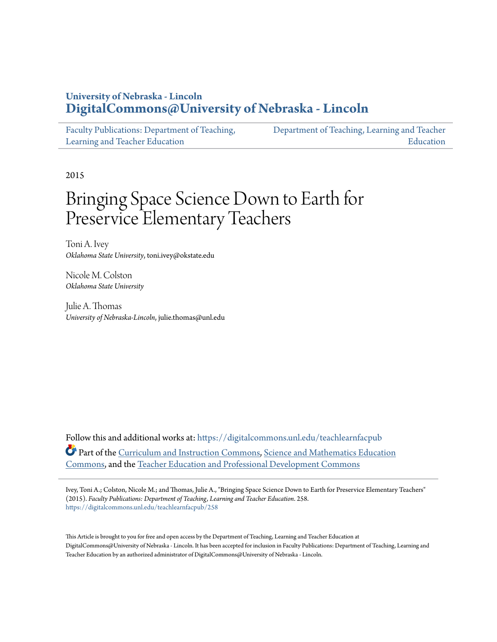## **University of Nebraska - Lincoln [DigitalCommons@University of Nebraska - Lincoln](https://digitalcommons.unl.edu?utm_source=digitalcommons.unl.edu%2Fteachlearnfacpub%2F258&utm_medium=PDF&utm_campaign=PDFCoverPages)**

| Faculty Publications: Department of Teaching, | Department of Teaching, Learning and Teacher |
|-----------------------------------------------|----------------------------------------------|
| Learning and Teacher Education                | Education                                    |

2015

# Bringing Space Science Down to Earth for Preservice Elementary Teachers

Toni A. Ivey *Oklahoma State University*, toni.ivey@okstate.edu

Nicole M. Colston *Oklahoma State University*

Julie A. Thomas *University of Nebraska-Lincoln*, julie.thomas@unl.edu

Follow this and additional works at: [https://digitalcommons.unl.edu/teachlearnfacpub](https://digitalcommons.unl.edu/teachlearnfacpub?utm_source=digitalcommons.unl.edu%2Fteachlearnfacpub%2F258&utm_medium=PDF&utm_campaign=PDFCoverPages) Part of the [Curriculum and Instruction Commons](http://network.bepress.com/hgg/discipline/786?utm_source=digitalcommons.unl.edu%2Fteachlearnfacpub%2F258&utm_medium=PDF&utm_campaign=PDFCoverPages), [Science and Mathematics Education](http://network.bepress.com/hgg/discipline/800?utm_source=digitalcommons.unl.edu%2Fteachlearnfacpub%2F258&utm_medium=PDF&utm_campaign=PDFCoverPages) [Commons,](http://network.bepress.com/hgg/discipline/800?utm_source=digitalcommons.unl.edu%2Fteachlearnfacpub%2F258&utm_medium=PDF&utm_campaign=PDFCoverPages) and the [Teacher Education and Professional Development Commons](http://network.bepress.com/hgg/discipline/803?utm_source=digitalcommons.unl.edu%2Fteachlearnfacpub%2F258&utm_medium=PDF&utm_campaign=PDFCoverPages)

Ivey, Toni A.; Colston, Nicole M.; and Thomas, Julie A., "Bringing Space Science Down to Earth for Preservice Elementary Teachers" (2015). *Faculty Publications: Department of Teaching, Learning and Teacher Education*. 258. [https://digitalcommons.unl.edu/teachlearnfacpub/258](https://digitalcommons.unl.edu/teachlearnfacpub/258?utm_source=digitalcommons.unl.edu%2Fteachlearnfacpub%2F258&utm_medium=PDF&utm_campaign=PDFCoverPages)

This Article is brought to you for free and open access by the Department of Teaching, Learning and Teacher Education at DigitalCommons@University of Nebraska - Lincoln. It has been accepted for inclusion in Faculty Publications: Department of Teaching, Learning and Teacher Education by an authorized administrator of DigitalCommons@University of Nebraska - Lincoln.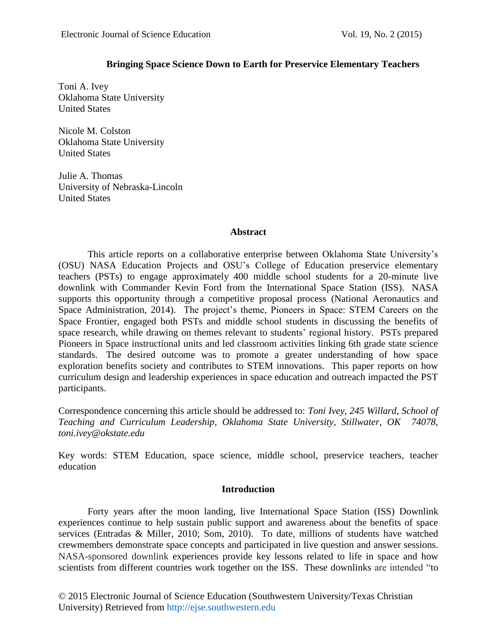## **Bringing Space Science Down to Earth for Preservice Elementary Teachers**

Toni A. Ivey Oklahoma State University United States

Nicole M. Colston Oklahoma State University United States

Julie A. Thomas University of Nebraska-Lincoln United States

## **Abstract**

This article reports on a collaborative enterprise between Oklahoma State University's (OSU) NASA Education Projects and OSU's College of Education preservice elementary teachers (PSTs) to engage approximately 400 middle school students for a 20-minute live downlink with Commander Kevin Ford from the International Space Station (ISS). NASA supports this opportunity through a competitive proposal process (National Aeronautics and Space Administration, 2014). The project's theme, Pioneers in Space: STEM Careers on the Space Frontier, engaged both PSTs and middle school students in discussing the benefits of space research, while drawing on themes relevant to students' regional history. PSTs prepared Pioneers in Space instructional units and led classroom activities linking 6th grade state science standards. The desired outcome was to promote a greater understanding of how space exploration benefits society and contributes to STEM innovations. This paper reports on how curriculum design and leadership experiences in space education and outreach impacted the PST participants.

Correspondence concerning this article should be addressed to: *Toni Ivey, 245 Willard, School of Teaching and Curriculum Leadership, Oklahoma State University, Stillwater, OK 74078, toni.ivey@okstate.edu*

Key words: STEM Education, space science, middle school, preservice teachers, teacher education

## **Introduction**

Forty years after the moon landing, live International Space Station (ISS) Downlink experiences continue to help sustain public support and awareness about the benefits of space services (Entradas & Miller, 2010; Som, 2010). To date, millions of students have watched crewmembers demonstrate space concepts and participated in live question and answer sessions. NASA-sponsored downlink experiences provide key lessons related to life in space and how scientists from different countries work together on the ISS. These downlinks are intended "to

© 2015 Electronic Journal of Science Education (Southwestern University/Texas Christian University) Retrieved from http://ejse.southwestern.edu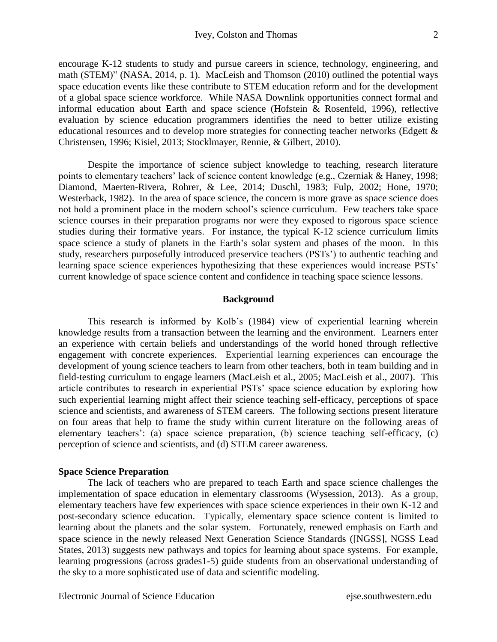encourage K-12 students to study and pursue careers in science, technology, engineering, and math (STEM)" (NASA, 2014, p. 1). MacLeish and Thomson (2010) outlined the potential ways space education events like these contribute to STEM education reform and for the development of a global space science workforce. While NASA Downlink opportunities connect formal and informal education about Earth and space science (Hofstein & Rosenfeld, 1996), reflective evaluation by science education programmers identifies the need to better utilize existing educational resources and to develop more strategies for connecting teacher networks (Edgett & Christensen, 1996; Kisiel, 2013; Stocklmayer, Rennie, & Gilbert, 2010).

Despite the importance of science subject knowledge to teaching, research literature points to elementary teachers' lack of science content knowledge (e.g., Czerniak & Haney, 1998; Diamond, Maerten-Rivera, Rohrer, & Lee, 2014; Duschl, 1983; Fulp, 2002; Hone, 1970; Westerback, 1982). In the area of space science, the concern is more grave as space science does not hold a prominent place in the modern school's science curriculum. Few teachers take space science courses in their preparation programs nor were they exposed to rigorous space science studies during their formative years. For instance, the typical K-12 science curriculum limits space science a study of planets in the Earth's solar system and phases of the moon. In this study, researchers purposefully introduced preservice teachers (PSTs') to authentic teaching and learning space science experiences hypothesizing that these experiences would increase PSTs' current knowledge of space science content and confidence in teaching space science lessons.

#### **Background**

This research is informed by Kolb's (1984) view of experiential learning wherein knowledge results from a transaction between the learning and the environment. Learners enter an experience with certain beliefs and understandings of the world honed through reflective engagement with concrete experiences. Experiential learning experiences can encourage the development of young science teachers to learn from other teachers, both in team building and in field-testing curriculum to engage learners (MacLeish et al., 2005; MacLeish et al., 2007). This article contributes to research in experiential PSTs' space science education by exploring how such experiential learning might affect their science teaching self-efficacy, perceptions of space science and scientists, and awareness of STEM careers. The following sections present literature on four areas that help to frame the study within current literature on the following areas of elementary teachers': (a) space science preparation, (b) science teaching self-efficacy, (c) perception of science and scientists, and (d) STEM career awareness.

#### **Space Science Preparation**

The lack of teachers who are prepared to teach Earth and space science challenges the implementation of space education in elementary classrooms (Wysession, 2013). As a group, elementary teachers have few experiences with space science experiences in their own K-12 and post-secondary science education. Typically, elementary space science content is limited to learning about the planets and the solar system. Fortunately, renewed emphasis on Earth and space science in the newly released Next Generation Science Standards ([NGSS], NGSS Lead States, 2013) suggests new pathways and topics for learning about space systems. For example, learning progressions (across grades1-5) guide students from an observational understanding of the sky to a more sophisticated use of data and scientific modeling.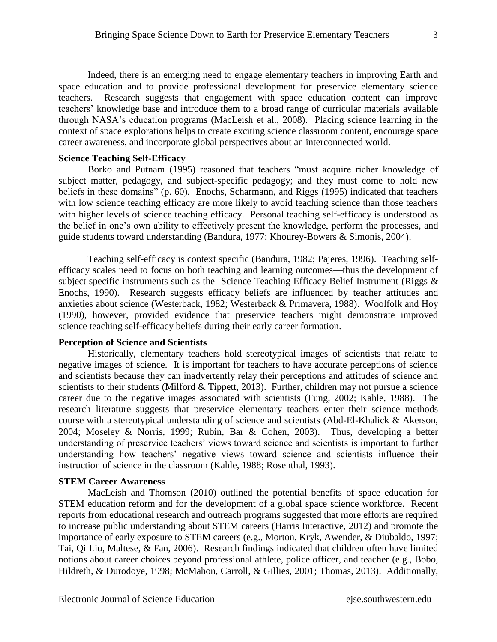Indeed, there is an emerging need to engage elementary teachers in improving Earth and space education and to provide professional development for preservice elementary science teachers. Research suggests that engagement with space education content can improve teachers' knowledge base and introduce them to a broad range of curricular materials available through NASA's education programs (MacLeish et al., 2008). Placing science learning in the context of space explorations helps to create exciting science classroom content, encourage space career awareness, and incorporate global perspectives about an interconnected world.

#### **Science Teaching Self-Efficacy**

Borko and Putnam (1995) reasoned that teachers "must acquire richer knowledge of subject matter, pedagogy, and subject-specific pedagogy; and they must come to hold new beliefs in these domains" (p. 60). Enochs, Scharmann, and Riggs (1995) indicated that teachers with low science teaching efficacy are more likely to avoid teaching science than those teachers with higher levels of science teaching efficacy. Personal teaching self-efficacy is understood as the belief in one's own ability to effectively present the knowledge, perform the processes, and guide students toward understanding (Bandura, 1977; Khourey-Bowers & Simonis, 2004).

Teaching self-efficacy is context specific (Bandura, 1982; Pajeres, 1996). Teaching selfefficacy scales need to focus on both teaching and learning outcomes—thus the development of subject specific instruments such as the Science Teaching Efficacy Belief Instrument (Riggs & Enochs, 1990). Research suggests efficacy beliefs are influenced by teacher attitudes and anxieties about science (Westerback, 1982; Westerback & Primavera, 1988). Woolfolk and Hoy (1990), however, provided evidence that preservice teachers might demonstrate improved science teaching self-efficacy beliefs during their early career formation.

## **Perception of Science and Scientists**

Historically, elementary teachers hold stereotypical images of scientists that relate to negative images of science. It is important for teachers to have accurate perceptions of science and scientists because they can inadvertently relay their perceptions and attitudes of science and scientists to their students (Milford & Tippett, 2013). Further, children may not pursue a science career due to the negative images associated with scientists (Fung, 2002; Kahle, 1988). The research literature suggests that preservice elementary teachers enter their science methods course with a stereotypical understanding of science and scientists (Abd-El-Khalick & Akerson, 2004; Moseley & Norris, 1999; Rubin, Bar & Cohen, 2003). Thus, developing a better understanding of preservice teachers' views toward science and scientists is important to further understanding how teachers' negative views toward science and scientists influence their instruction of science in the classroom (Kahle, 1988; Rosenthal, 1993).

#### **STEM Career Awareness**

MacLeish and Thomson (2010) outlined the potential benefits of space education for STEM education reform and for the development of a global space science workforce. Recent reports from educational research and outreach programs suggested that more efforts are required to increase public understanding about STEM careers (Harris Interactive, 2012) and promote the importance of early exposure to STEM careers (e.g., Morton, Kryk, Awender, & Diubaldo, 1997; Tai, Qi Liu, Maltese, & Fan, 2006). Research findings indicated that children often have limited notions about career choices beyond professional athlete, police officer, and teacher (e.g., Bobo, Hildreth, & Durodoye, 1998; McMahon, Carroll, & Gillies, 2001; Thomas, 2013). Additionally,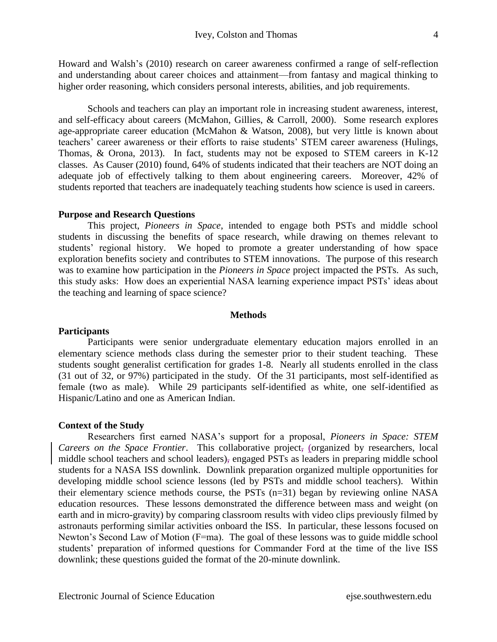Howard and Walsh's (2010) research on career awareness confirmed a range of self-reflection and understanding about career choices and attainment—from fantasy and magical thinking to higher order reasoning, which considers personal interests, abilities, and job requirements.

Schools and teachers can play an important role in increasing student awareness, interest, and self-efficacy about careers (McMahon, Gillies, & Carroll, 2000). Some research explores age-appropriate career education (McMahon & Watson, 2008), but very little is known about teachers' career awareness or their efforts to raise students' STEM career awareness (Hulings, Thomas, & Orona, 2013). In fact, students may not be exposed to STEM careers in K-12 classes. As Causer (2010) found, 64% of students indicated that their teachers are NOT doing an adequate job of effectively talking to them about engineering careers. Moreover, 42% of students reported that teachers are inadequately teaching students how science is used in careers.

#### **Purpose and Research Questions**

This project, *Pioneers in Space*, intended to engage both PSTs and middle school students in discussing the benefits of space research, while drawing on themes relevant to students' regional history. We hoped to promote a greater understanding of how space exploration benefits society and contributes to STEM innovations. The purpose of this research was to examine how participation in the *Pioneers in Space* project impacted the PSTs. As such, this study asks: How does an experiential NASA learning experience impact PSTs' ideas about the teaching and learning of space science?

#### **Methods**

#### **Participants**

Participants were senior undergraduate elementary education majors enrolled in an elementary science methods class during the semester prior to their student teaching. These students sought generalist certification for grades 1-8. Nearly all students enrolled in the class (31 out of 32, or 97%) participated in the study. Of the 31 participants, most self-identified as female (two as male). While 29 participants self-identified as white, one self-identified as Hispanic/Latino and one as American Indian.

#### **Context of the Study**

Researchers first earned NASA's support for a proposal, *Pioneers in Space: STEM Careers on the Space Frontier*. This collaborative project, (organized by researchers, local middle school teachers and school leaders), engaged PSTs as leaders in preparing middle school students for a NASA ISS downlink. Downlink preparation organized multiple opportunities for developing middle school science lessons (led by PSTs and middle school teachers). Within their elementary science methods course, the PSTs (n=31) began by reviewing online NASA education resources. These lessons demonstrated the difference between mass and weight (on earth and in micro-gravity) by comparing classroom results with video clips previously filmed by astronauts performing similar activities onboard the ISS. In particular, these lessons focused on Newton's Second Law of Motion (F=ma). The goal of these lessons was to guide middle school students' preparation of informed questions for Commander Ford at the time of the live ISS downlink; these questions guided the format of the 20-minute downlink.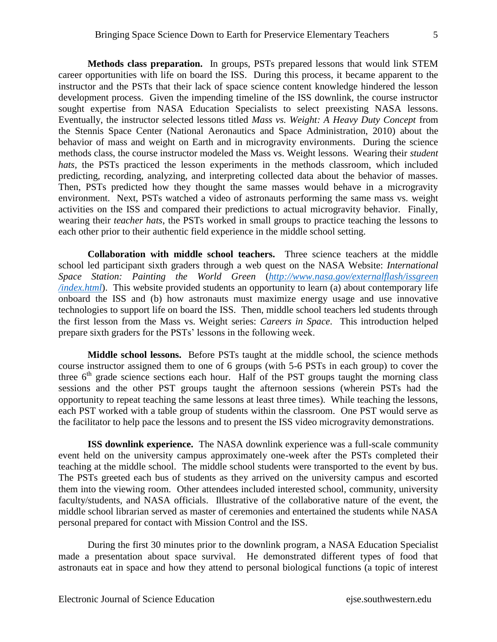**Methods class preparation.** In groups, PSTs prepared lessons that would link STEM career opportunities with life on board the ISS. During this process, it became apparent to the instructor and the PSTs that their lack of space science content knowledge hindered the lesson development process. Given the impending timeline of the ISS downlink, the course instructor sought expertise from NASA Education Specialists to select preexisting NASA lessons. Eventually, the instructor selected lessons titled *Mass vs. Weight: A Heavy Duty Concept* from the Stennis Space Center (National Aeronautics and Space Administration, 2010) about the behavior of mass and weight on Earth and in microgravity environments. During the science methods class, the course instructor modeled the Mass vs. Weight lessons. Wearing their *student hats,* the PSTs practiced the lesson experiments in the methods classroom, which included predicting, recording, analyzing, and interpreting collected data about the behavior of masses. Then, PSTs predicted how they thought the same masses would behave in a microgravity environment. Next, PSTs watched a video of astronauts performing the same mass vs. weight activities on the ISS and compared their predictions to actual microgravity behavior. Finally, wearing their *teacher hats*, the PSTs worked in small groups to practice teaching the lessons to each other prior to their authentic field experience in the middle school setting.

**Collaboration with middle school teachers.** Three science teachers at the middle school led participant sixth graders through a web quest on the NASA Website: *International Space Station: Painting the World Green* (*[http://www.nasa.gov/externalflash/issgreen](http://www.nasa.gov/externalflash/issgreen%20/index.html)  [/index.html](http://www.nasa.gov/externalflash/issgreen%20/index.html)*). This website provided students an opportunity to learn (a) about contemporary life onboard the ISS and (b) how astronauts must maximize energy usage and use innovative technologies to support life on board the ISS. Then, middle school teachers led students through the first lesson from the Mass vs. Weight series: *Careers in Space*. This introduction helped prepare sixth graders for the PSTs' lessons in the following week.

**Middle school lessons.** Before PSTs taught at the middle school, the science methods course instructor assigned them to one of 6 groups (with 5-6 PSTs in each group) to cover the three  $6<sup>th</sup>$  grade science sections each hour. Half of the PST groups taught the morning class sessions and the other PST groups taught the afternoon sessions (wherein PSTs had the opportunity to repeat teaching the same lessons at least three times). While teaching the lessons, each PST worked with a table group of students within the classroom. One PST would serve as the facilitator to help pace the lessons and to present the ISS video microgravity demonstrations.

**ISS downlink experience.** The NASA downlink experience was a full-scale community event held on the university campus approximately one-week after the PSTs completed their teaching at the middle school. The middle school students were transported to the event by bus. The PSTs greeted each bus of students as they arrived on the university campus and escorted them into the viewing room. Other attendees included interested school, community, university faculty/students, and NASA officials. Illustrative of the collaborative nature of the event, the middle school librarian served as master of ceremonies and entertained the students while NASA personal prepared for contact with Mission Control and the ISS.

During the first 30 minutes prior to the downlink program, a NASA Education Specialist made a presentation about space survival. He demonstrated different types of food that astronauts eat in space and how they attend to personal biological functions (a topic of interest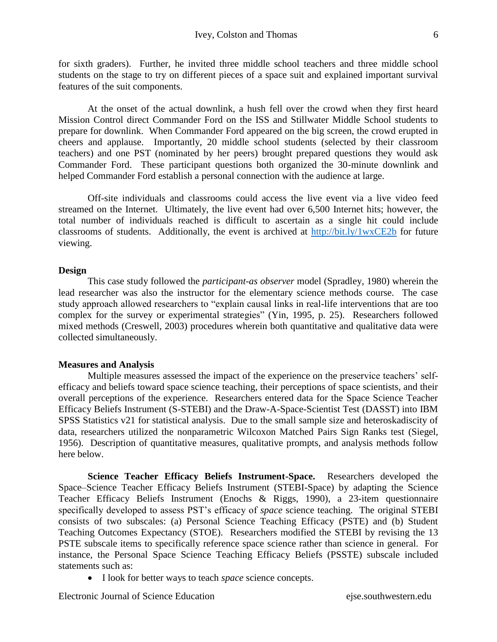for sixth graders). Further, he invited three middle school teachers and three middle school students on the stage to try on different pieces of a space suit and explained important survival features of the suit components.

At the onset of the actual downlink, a hush fell over the crowd when they first heard Mission Control direct Commander Ford on the ISS and Stillwater Middle School students to prepare for downlink. When Commander Ford appeared on the big screen, the crowd erupted in cheers and applause. Importantly, 20 middle school students (selected by their classroom teachers) and one PST (nominated by her peers) brought prepared questions they would ask Commander Ford. These participant questions both organized the 30-minute downlink and helped Commander Ford establish a personal connection with the audience at large.

Off-site individuals and classrooms could access the live event via a live video feed streamed on the Internet. Ultimately, the live event had over 6,500 Internet hits; however, the total number of individuals reached is difficult to ascertain as a single hit could include classrooms of students. Additionally, the event is archived at<http://bit.ly/1wxCE2b> for future viewing.

#### **Design**

This case study followed the *participant-as observer* model (Spradley, 1980) wherein the lead researcher was also the instructor for the elementary science methods course. The case study approach allowed researchers to "explain causal links in real-life interventions that are too complex for the survey or experimental strategies" (Yin, 1995, p. 25). Researchers followed mixed methods (Creswell, 2003) procedures wherein both quantitative and qualitative data were collected simultaneously.

#### **Measures and Analysis**

Multiple measures assessed the impact of the experience on the preservice teachers' selfefficacy and beliefs toward space science teaching, their perceptions of space scientists, and their overall perceptions of the experience. Researchers entered data for the Space Science Teacher Efficacy Beliefs Instrument (S-STEBI) and the Draw-A-Space-Scientist Test (DASST) into IBM SPSS Statistics v21 for statistical analysis. Due to the small sample size and heteroskadiscity of data, researchers utilized the nonparametric Wilcoxon Matched Pairs Sign Ranks test (Siegel, 1956). Description of quantitative measures, qualitative prompts, and analysis methods follow here below.

**Science Teacher Efficacy Beliefs Instrument-Space.** Researchers developed the Space–Science Teacher Efficacy Beliefs Instrument (STEBI-Space) by adapting the Science Teacher Efficacy Beliefs Instrument (Enochs & Riggs, 1990), a 23-item questionnaire specifically developed to assess PST's efficacy of *space* science teaching. The original STEBI consists of two subscales: (a) Personal Science Teaching Efficacy (PSTE) and (b) Student Teaching Outcomes Expectancy (STOE). Researchers modified the STEBI by revising the 13 PSTE subscale items to specifically reference space science rather than science in general. For instance, the Personal Space Science Teaching Efficacy Beliefs (PSSTE) subscale included statements such as:

I look for better ways to teach *space* science concepts.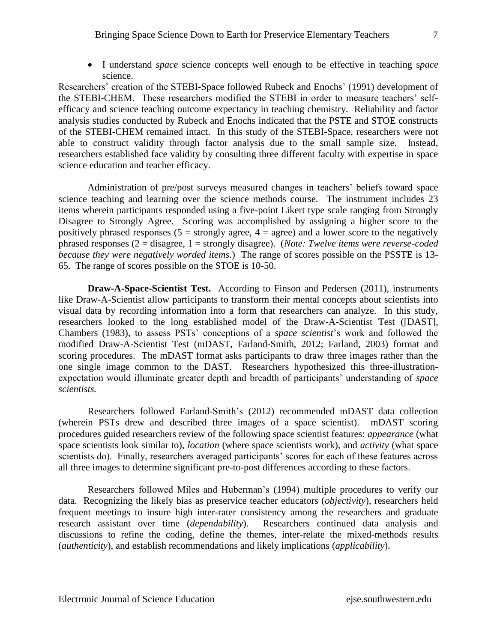I understand *space* science concepts well enough to be effective in teaching s*pace* science.

Researchers' creation of the STEBI-Space followed Rubeck and Enochs' (1991) development of the STEBI-CHEM. These researchers modified the STEBI in order to measure teachers' selfefficacy and science teaching outcome expectancy in teaching chemistry. Reliability and factor analysis studies conducted by Rubeck and Enochs indicated that the PSTE and STOE constructs of the STEBI-CHEM remained intact. In this study of the STEBI-Space, researchers were not able to construct validity through factor analysis due to the small sample size. Instead, researchers established face validity by consulting three different faculty with expertise in space science education and teacher efficacy.

Administration of pre/post surveys measured changes in teachers' beliefs toward space science teaching and learning over the science methods course. The instrument includes 23 items wherein participants responded using a five-point Likert type scale ranging from Strongly Disagree to Strongly Agree. Scoring was accomplished by assigning a higher score to the positively phrased responses ( $5 =$  strongly agree,  $4 =$  agree) and a lower score to the negatively phrased responses (2 = disagree, 1 = strongly disagree). (*Note: Twelve items were reverse-coded because they were negatively worded items.*) The range of scores possible on the PSSTE is 13- 65. The range of scores possible on the STOE is 10-50.

**Draw-A-Space-Scientist Test.** According to Finson and Pedersen (2011), instruments like Draw-A-Scientist allow participants to transform their mental concepts about scientists into visual data by recording information into a form that researchers can analyze. In this study, researchers looked to the long established model of the Draw-A-Scientist Test ([DAST], Chambers (1983), to assess PSTs' conceptions of a *space scientist*'s work and followed the modified Draw-A-Scientist Test (mDAST, Farland-Smith, 2012; Farland, 2003) format and scoring procedures. The mDAST format asks participants to draw three images rather than the one single image common to the DAST. Researchers hypothesized this three-illustrationexpectation would illuminate greater depth and breadth of participants' understanding of *space scientists.*

Researchers followed Farland-Smith's (2012) recommended mDAST data collection (wherein PSTs drew and described three images of a space scientist). mDAST scoring procedures guided researchers review of the following space scientist features: *appearance* (what space scientists look similar to), *location* (where space scientists work), and *activity* (what space scientists do). Finally, researchers averaged participants' scores for each of these features across all three images to determine significant pre-to-post differences according to these factors.

Researchers followed Miles and Huberman's (1994) multiple procedures to verify our data. Recognizing the likely bias as preservice teacher educators (*objectivity*), researchers held frequent meetings to insure high inter-rater consistency among the researchers and graduate research assistant over time (*dependability*). Researchers continued data analysis and discussions to refine the coding, define the themes, inter-relate the mixed-methods results (*authenticity*), and establish recommendations and likely implications (*applicability*).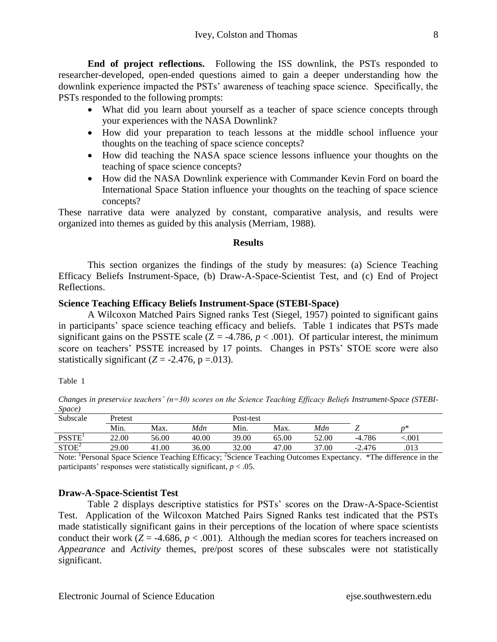**End of project reflections.** Following the ISS downlink, the PSTs responded to researcher-developed, open-ended questions aimed to gain a deeper understanding how the downlink experience impacted the PSTs' awareness of teaching space science. Specifically, the PSTs responded to the following prompts:

- What did you learn about yourself as a teacher of space science concepts through your experiences with the NASA Downlink?
- How did your preparation to teach lessons at the middle school influence your thoughts on the teaching of space science concepts?
- How did teaching the NASA space science lessons influence your thoughts on the teaching of space science concepts?
- How did the NASA Downlink experience with Commander Kevin Ford on board the International Space Station influence your thoughts on the teaching of space science concepts?

These narrative data were analyzed by constant, comparative analysis, and results were organized into themes as guided by this analysis (Merriam, 1988).

#### **Results**

This section organizes the findings of the study by measures: (a) Science Teaching Efficacy Beliefs Instrument-Space, (b) Draw-A-Space-Scientist Test, and (c) End of Project Reflections.

## **Science Teaching Efficacy Beliefs Instrument-Space (STEBI-Space)**

A Wilcoxon Matched Pairs Signed ranks Test (Siegel, 1957) pointed to significant gains in participants' space science teaching efficacy and beliefs. Table 1 indicates that PSTs made significant gains on the PSSTE scale  $(Z = -4.786, p < .001)$ . Of particular interest, the minimum score on teachers' PSSTE increased by 17 points. Changes in PSTs' STOE score were also statistically significant  $(Z = -2.476, p = .013)$ .

#### Table 1

*Changes in preservice teachers' (n=30) scores on the Science Teaching Efficacy Beliefs Instrument-Space (STEBI-Space)*

| Subscale          | Pretest |       |       | Post-test |       |       |          |      |  |
|-------------------|---------|-------|-------|-----------|-------|-------|----------|------|--|
|                   | Min.    | Max.  | Mdn   | Min.      | Max.  | Mdn   |          | $n*$ |  |
| <b>PSSTE</b>      | 22.00   | 56.00 | 40.00 | 39.00     | 65.00 | 52.00 | $-4.786$ | .001 |  |
| STOE <sup>2</sup> | 29.00   | 41.00 | 36.00 | 32.00     | 47.00 | 37.00 | $-2.476$ | .013 |  |

Note: <sup>1</sup>Personal Space Science Teaching Efficacy; <sup>2</sup>Science Teaching Outcomes Expectancy. \*The difference in the participants' responses were statistically significant,  $p < .05$ .

## **Draw-A-Space-Scientist Test**

Table 2 displays descriptive statistics for PSTs' scores on the Draw-A-Space-Scientist Test. Application of the Wilcoxon Matched Pairs Signed Ranks test indicated that the PSTs made statistically significant gains in their perceptions of the location of where space scientists conduct their work  $(Z = -4.686, p < .001)$ . Although the median scores for teachers increased on *Appearance* and *Activity* themes, pre/post scores of these subscales were not statistically significant.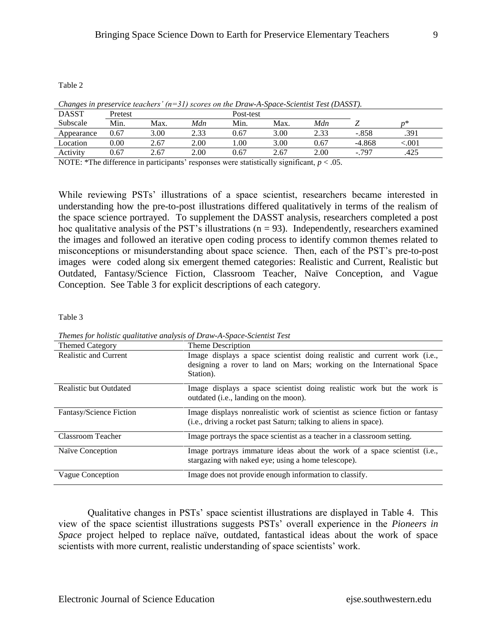Table 2

| Changes in preservice teachers (if 21) secres on the Druw II space setemming fest (DIMSIT). |          |      |      |           |      |      |          |       |  |
|---------------------------------------------------------------------------------------------|----------|------|------|-----------|------|------|----------|-------|--|
| <b>DASST</b>                                                                                | Pretest  |      |      | Post-test |      |      |          |       |  |
| Subscale                                                                                    | Min.     | Max. | Mdn  | Min.      | Max. | Mdn  |          | n*    |  |
| Appearance                                                                                  | 0.67     | 3.00 | 2.33 | 0.67      | 3.00 | 2.33 | $-.858$  | .391  |  |
| Location                                                                                    | $0.00\,$ | 2.67 | 2.00 | .00.      | 3.00 | 0.67 | $-4.868$ | < 001 |  |
| Activity                                                                                    | 0.67     | 2.67 | 2.00 | 0.67      | 2.67 | 2.00 | $-0.797$ | .425  |  |
|                                                                                             |          |      |      |           |      |      |          |       |  |

*Changes in preservice teachers' (n=31) scores on the Draw-A-Space-Scientist Test (DASST).*

NOTE: \*The difference in participants' responses were statistically significant, *p* < .05.

While reviewing PSTs' illustrations of a space scientist, researchers became interested in understanding how the pre-to-post illustrations differed qualitatively in terms of the realism of the space science portrayed. To supplement the DASST analysis, researchers completed a post hoc qualitative analysis of the PST's illustrations ( $n = 93$ ). Independently, researchers examined the images and followed an iterative open coding process to identify common themes related to misconceptions or misunderstanding about space science. Then, each of the PST's pre-to-post images were coded along six emergent themed categories: Realistic and Current, Realistic but Outdated, Fantasy/Science Fiction, Classroom Teacher, Naïve Conception, and Vague Conception. See Table 3 for explicit descriptions of each category.

Table 3

Themed Category Theme Description Realistic and Current Image displays a space scientist doing realistic and current work (i.e., designing a rover to land on Mars; working on the International Space Station). Realistic but Outdated Image displays a space scientist doing realistic work but the work is outdated (i.e., landing on the moon). Fantasy/Science Fiction Image displays nonrealistic work of scientist as science fiction or fantasy (i.e., driving a rocket past Saturn; talking to aliens in space). Classroom Teacher Image portrays the space scientist as a teacher in a classroom setting. Naïve Conception Image portrays immature ideas about the work of a space scientist (i.e., stargazing with naked eye; using a home telescope). Vague Conception Image does not provide enough information to classify.

*Themes for holistic qualitative analysis of Draw-A-Space-Scientist Test*

Qualitative changes in PSTs' space scientist illustrations are displayed in Table 4. This view of the space scientist illustrations suggests PSTs' overall experience in the *Pioneers in Space* project helped to replace naïve, outdated, fantastical ideas about the work of space scientists with more current, realistic understanding of space scientists' work.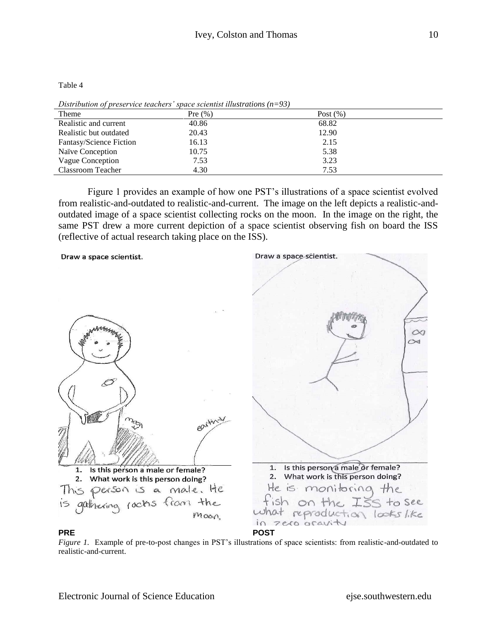| Theme                   | Pre $(\% )$ | Post $(\%)$ |
|-------------------------|-------------|-------------|
| Realistic and current   | 40.86       | 68.82       |
| Realistic but outdated  | 20.43       | 12.90       |
| Fantasy/Science Fiction | 16.13       | 2.15        |
| Naïve Conception        | 10.75       | 5.38        |
| Vague Conception        | 7.53        | 3.23        |
| Classroom Teacher       | 4.30        | 7.53        |

*Distribution of preservice teachers' space scientist illustrations (n=93)* 

Figure 1 provides an example of how one PST's illustrations of a space scientist evolved from realistic-and-outdated to realistic-and-current. The image on the left depicts a realistic-andoutdated image of a space scientist collecting rocks on the moon. In the image on the right, the same PST drew a more current depiction of a space scientist observing fish on board the ISS (reflective of actual research taking place on the ISS).



#### **PRE POST**

*Figure 1.* Example of pre-to-post changes in PST's illustrations of space scientists: from realistic-and-outdated to realistic-and-current.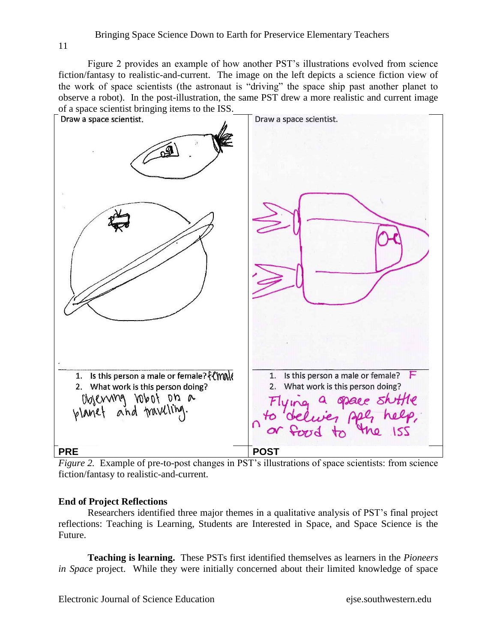Figure 2 provides an example of how another PST's illustrations evolved from science fiction/fantasy to realistic-and-current. The image on the left depicts a science fiction view of the work of space scientists (the astronaut is "driving" the space ship past another planet to observe a robot). In the post-illustration, the same PST drew a more realistic and current image of a space scientist bringing items to the ISS.



*Figure 2.* Example of pre-to-post changes in PST's illustrations of space scientists: from science fiction/fantasy to realistic-and-current.

## **End of Project Reflections**

Researchers identified three major themes in a qualitative analysis of PST's final project reflections: Teaching is Learning, Students are Interested in Space, and Space Science is the Future.

**Teaching is learning.** These PSTs first identified themselves as learners in the *Pioneers in Space* project. While they were initially concerned about their limited knowledge of space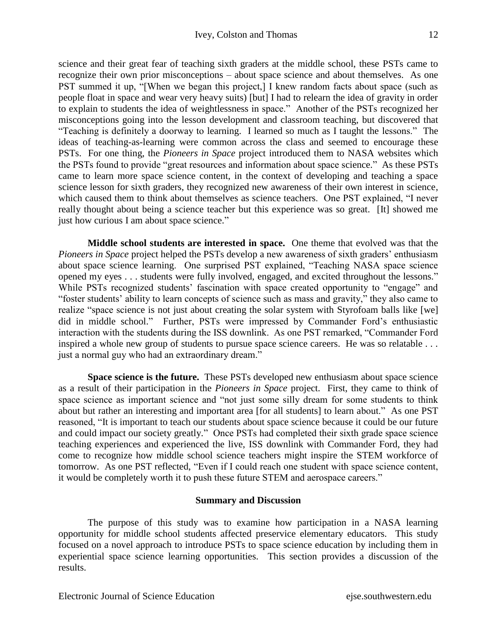science and their great fear of teaching sixth graders at the middle school, these PSTs came to recognize their own prior misconceptions – about space science and about themselves. As one PST summed it up, "[When we began this project,] I knew random facts about space (such as people float in space and wear very heavy suits) [but] I had to relearn the idea of gravity in order to explain to students the idea of weightlessness in space." Another of the PSTs recognized her misconceptions going into the lesson development and classroom teaching, but discovered that "Teaching is definitely a doorway to learning. I learned so much as I taught the lessons." The ideas of teaching-as-learning were common across the class and seemed to encourage these PSTs. For one thing, the *Pioneers in Space* project introduced them to NASA websites which the PSTs found to provide "great resources and information about space science." As these PSTs came to learn more space science content, in the context of developing and teaching a space science lesson for sixth graders, they recognized new awareness of their own interest in science, which caused them to think about themselves as science teachers. One PST explained, "I never really thought about being a science teacher but this experience was so great. [It] showed me just how curious I am about space science."

**Middle school students are interested in space.** One theme that evolved was that the *Pioneers in Space* project helped the PSTs develop a new awareness of sixth graders' enthusiasm about space science learning. One surprised PST explained, "Teaching NASA space science opened my eyes . . . students were fully involved, engaged, and excited throughout the lessons." While PSTs recognized students' fascination with space created opportunity to "engage" and "foster students' ability to learn concepts of science such as mass and gravity," they also came to realize "space science is not just about creating the solar system with Styrofoam balls like [we] did in middle school." Further, PSTs were impressed by Commander Ford's enthusiastic interaction with the students during the ISS downlink. As one PST remarked, "Commander Ford inspired a whole new group of students to pursue space science careers. He was so relatable . . . just a normal guy who had an extraordinary dream."

**Space science is the future.** These PSTs developed new enthusiasm about space science as a result of their participation in the *Pioneers in Space* project. First, they came to think of space science as important science and "not just some silly dream for some students to think about but rather an interesting and important area [for all students] to learn about." As one PST reasoned, "It is important to teach our students about space science because it could be our future and could impact our society greatly." Once PSTs had completed their sixth grade space science teaching experiences and experienced the live, ISS downlink with Commander Ford, they had come to recognize how middle school science teachers might inspire the STEM workforce of tomorrow. As one PST reflected, "Even if I could reach one student with space science content, it would be completely worth it to push these future STEM and aerospace careers."

#### **Summary and Discussion**

The purpose of this study was to examine how participation in a NASA learning opportunity for middle school students affected preservice elementary educators. This study focused on a novel approach to introduce PSTs to space science education by including them in experiential space science learning opportunities. This section provides a discussion of the results.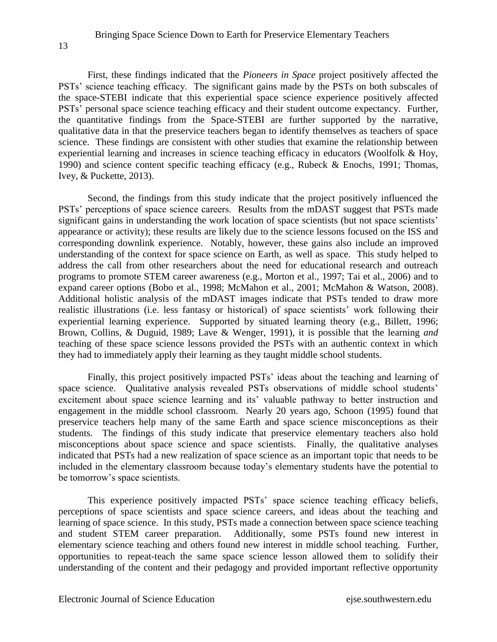13

First, these findings indicated that the *Pioneers in Space* project positively affected the PSTs' science teaching efficacy. The significant gains made by the PSTs on both subscales of the space-STEBI indicate that this experiential space science experience positively affected PSTs' personal space science teaching efficacy and their student outcome expectancy. Further, the quantitative findings from the Space-STEBI are further supported by the narrative, qualitative data in that the preservice teachers began to identify themselves as teachers of space science. These findings are consistent with other studies that examine the relationship between experiential learning and increases in science teaching efficacy in educators (Woolfolk & Hoy, 1990) and science content specific teaching efficacy (e.g., Rubeck & Enochs, 1991; Thomas, Ivey, & Puckette, 2013).

Second, the findings from this study indicate that the project positively influenced the PSTs' perceptions of space science careers. Results from the mDAST suggest that PSTs made significant gains in understanding the work location of space scientists (but not space scientists' appearance or activity); these results are likely due to the science lessons focused on the ISS and corresponding downlink experience. Notably, however, these gains also include an improved understanding of the context for space science on Earth, as well as space. This study helped to address the call from other researchers about the need for educational research and outreach programs to promote STEM career awareness (e.g., Morton et al., 1997; Tai et al., 2006) and to expand career options (Bobo et al., 1998; McMahon et al., 2001; McMahon & Watson, 2008). Additional holistic analysis of the mDAST images indicate that PSTs tended to draw more realistic illustrations (i.e. less fantasy or historical) of space scientists' work following their experiential learning experience. Supported by situated learning theory (e.g., Billett, 1996; Brown, Collins, & Duguid, 1989; Lave & Wenger, 1991), it is possible that the learning *and* teaching of these space science lessons provided the PSTs with an authentic context in which they had to immediately apply their learning as they taught middle school students.

Finally, this project positively impacted PSTs' ideas about the teaching and learning of space science. Qualitative analysis revealed PSTs observations of middle school students' excitement about space science learning and its' valuable pathway to better instruction and engagement in the middle school classroom. Nearly 20 years ago, Schoon (1995) found that preservice teachers help many of the same Earth and space science misconceptions as their students. The findings of this study indicate that preservice elementary teachers also hold misconceptions about space science and space scientists. Finally, the qualitative analyses indicated that PSTs had a new realization of space science as an important topic that needs to be included in the elementary classroom because today's elementary students have the potential to be tomorrow's space scientists.

This experience positively impacted PSTs' space science teaching efficacy beliefs, perceptions of space scientists and space science careers, and ideas about the teaching and learning of space science. In this study, PSTs made a connection between space science teaching and student STEM career preparation. Additionally, some PSTs found new interest in elementary science teaching and others found new interest in middle school teaching. Further, opportunities to repeat-teach the same space science lesson allowed them to solidify their understanding of the content and their pedagogy and provided important reflective opportunity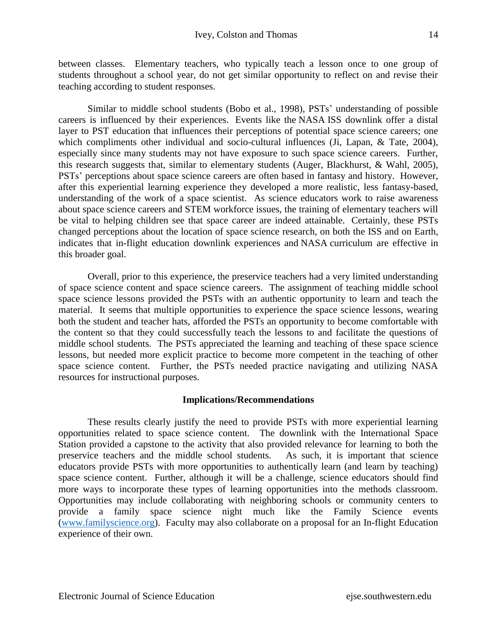between classes. Elementary teachers, who typically teach a lesson once to one group of students throughout a school year, do not get similar opportunity to reflect on and revise their teaching according to student responses.

Similar to middle school students (Bobo et al., 1998), PSTs' understanding of possible careers is influenced by their experiences. Events like the NASA ISS downlink offer a distal layer to PST education that influences their perceptions of potential space science careers; one which compliments other individual and socio-cultural influences (Ji, Lapan, & Tate, 2004), especially since many students may not have exposure to such space science careers. Further, this research suggests that, similar to elementary students (Auger, Blackhurst, & Wahl, 2005), PSTs' perceptions about space science careers are often based in fantasy and history. However, after this experiential learning experience they developed a more realistic, less fantasy-based, understanding of the work of a space scientist. As science educators work to raise awareness about space science careers and STEM workforce issues, the training of elementary teachers will be vital to helping children see that space career are indeed attainable. Certainly, these PSTs changed perceptions about the location of space science research, on both the ISS and on Earth, indicates that in-flight education downlink experiences and NASA curriculum are effective in this broader goal.

Overall, prior to this experience, the preservice teachers had a very limited understanding of space science content and space science careers. The assignment of teaching middle school space science lessons provided the PSTs with an authentic opportunity to learn and teach the material. It seems that multiple opportunities to experience the space science lessons, wearing both the student and teacher hats, afforded the PSTs an opportunity to become comfortable with the content so that they could successfully teach the lessons to and facilitate the questions of middle school students. The PSTs appreciated the learning and teaching of these space science lessons, but needed more explicit practice to become more competent in the teaching of other space science content. Further, the PSTs needed practice navigating and utilizing NASA resources for instructional purposes.

## **Implications/Recommendations**

These results clearly justify the need to provide PSTs with more experiential learning opportunities related to space science content. The downlink with the International Space Station provided a capstone to the activity that also provided relevance for learning to both the preservice teachers and the middle school students. As such, it is important that science educators provide PSTs with more opportunities to authentically learn (and learn by teaching) space science content. Further, although it will be a challenge, science educators should find more ways to incorporate these types of learning opportunities into the methods classroom. Opportunities may include collaborating with neighboring schools or community centers to provide a family space science night much like the Family Science events [\(www.familyscience.org\)](http://www.familyscience.org/). Faculty may also collaborate on a proposal for an In-flight Education experience of their own.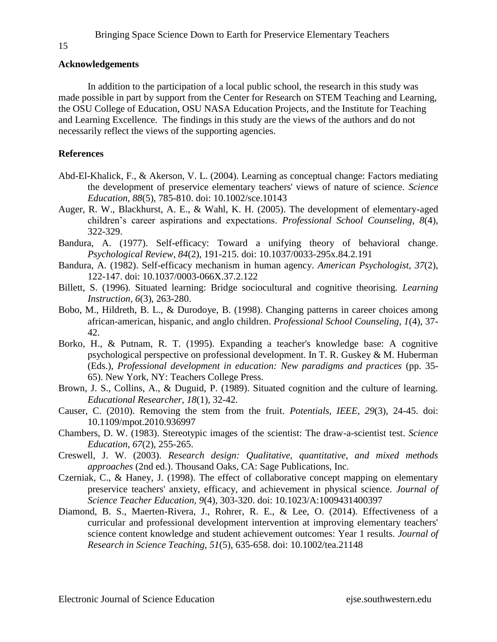## **Acknowledgements**

In addition to the participation of a local public school, the research in this study was made possible in part by support from the Center for Research on STEM Teaching and Learning, the OSU College of Education, OSU NASA Education Projects, and the Institute for Teaching and Learning Excellence. The findings in this study are the views of the authors and do not necessarily reflect the views of the supporting agencies.

## **References**

- Abd-El-Khalick, F., & Akerson, V. L. (2004). Learning as conceptual change: Factors mediating the development of preservice elementary teachers' views of nature of science. *Science Education, 88*(5), 785-810. doi: 10.1002/sce.10143
- Auger, R. W., Blackhurst, A. E., & Wahl, K. H. (2005). The development of elementary-aged children's career aspirations and expectations. *Professional School Counseling, 8*(4), 322-329.
- Bandura, A. (1977). Self-efficacy: Toward a unifying theory of behavioral change. *Psychological Review, 84*(2), 191-215. doi: 10.1037/0033-295x.84.2.191
- Bandura, A. (1982). Self-efficacy mechanism in human agency. *American Psychologist, 37*(2), 122-147. doi: 10.1037/0003-066X.37.2.122
- Billett, S. (1996). Situated learning: Bridge sociocultural and cognitive theorising. *Learning Instruction, 6*(3), 263-280.
- Bobo, M., Hildreth, B. L., & Durodoye, B. (1998). Changing patterns in career choices among african-american, hispanic, and anglo children. *Professional School Counseling, 1*(4), 37- 42.
- Borko, H., & Putnam, R. T. (1995). Expanding a teacher's knowledge base: A cognitive psychological perspective on professional development. In T. R. Guskey & M. Huberman (Eds.), *Professional development in education: New paradigms and practices* (pp. 35- 65). New York, NY: Teachers College Press.
- Brown, J. S., Collins, A., & Duguid, P. (1989). Situated cognition and the culture of learning. *Educational Researcher, 18*(1), 32-42.
- Causer, C. (2010). Removing the stem from the fruit. *Potentials, IEEE, 29*(3), 24-45. doi: 10.1109/mpot.2010.936997
- Chambers, D. W. (1983). Stereotypic images of the scientist: The draw-a-scientist test. *Science Education, 67*(2), 255-265.
- Creswell, J. W. (2003). *Research design: Qualitative, quantitative, and mixed methods approaches* (2nd ed.). Thousand Oaks, CA: Sage Publications, Inc.
- Czerniak, C., & Haney, J. (1998). The effect of collaborative concept mapping on elementary preservice teachers' anxiety, efficacy, and achievement in physical science. *Journal of Science Teacher Education, 9*(4), 303-320. doi: 10.1023/A:1009431400397
- Diamond, B. S., Maerten-Rivera, J., Rohrer, R. E., & Lee, O. (2014). Effectiveness of a curricular and professional development intervention at improving elementary teachers' science content knowledge and student achievement outcomes: Year 1 results. *Journal of Research in Science Teaching, 51*(5), 635-658. doi: 10.1002/tea.21148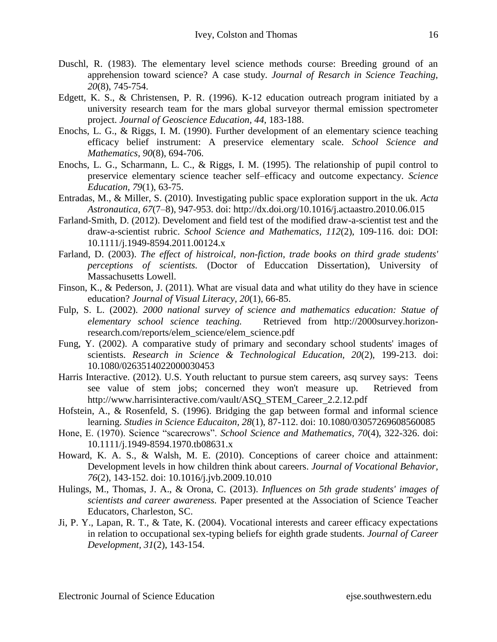- Duschl, R. (1983). The elementary level science methods course: Breeding ground of an apprehension toward science? A case study. *Journal of Resarch in Science Teaching, 20*(8), 745-754.
- Edgett, K. S., & Christensen, P. R. (1996). K-12 education outreach program initiated by a university research team for the mars global surveyor thermal emission spectrometer project. *Journal of Geoscience Education, 44*, 183-188.
- Enochs, L. G., & Riggs, I. M. (1990). Further development of an elementary science teaching efficacy belief instrument: A preservice elementary scale. *School Science and Mathematics, 90*(8), 694-706.
- Enochs, L. G., Scharmann, L. C., & Riggs, I. M. (1995). The relationship of pupil control to preservice elementary science teacher self–efficacy and outcome expectancy. *Science Education, 79*(1), 63-75.
- Entradas, M., & Miller, S. (2010). Investigating public space exploration support in the uk. *Acta Astronautica, 67*(7–8), 947-953. doi: http://dx.doi.org/10.1016/j.actaastro.2010.06.015
- Farland-Smith, D. (2012). Develoment and field test of the modified draw-a-scientist test and the draw-a-scientist rubric. *School Science and Mathematics, 112*(2), 109-116. doi: DOI: 10.1111/j.1949-8594.2011.00124.x
- Farland, D. (2003). *The effect of histroical, non-fiction, trade books on third grade students' perceptions of scientists.* (Doctor of Educcation Dissertation), University of Massachusetts Lowell.
- Finson, K., & Pederson, J. (2011). What are visual data and what utility do they have in science education? *Journal of Visual Literacy, 20*(1), 66-85.
- Fulp, S. L. (2002). *2000 national survey of science and mathematics education: Statue of elementary school science teaching.* Retrieved from http://2000survey.horizonresearch.com/reports/elem\_science/elem\_science.pdf
- Fung, Y. (2002). A comparative study of primary and secondary school students' images of scientists. *Research in Science & Technological Education, 20*(2), 199-213. doi: 10.1080/0263514022000030453
- Harris Interactive. (2012). U.S. Youth reluctant to pursue stem careers, asq survey says: Teens see value of stem jobs; concerned they won't measure up. Retrieved from http://www.harrisinteractive.com/vault/ASQ\_STEM\_Career\_2.2.12.pdf
- Hofstein, A., & Rosenfeld, S. (1996). Bridging the gap between formal and informal science learning. *Studies in Science Educaiton, 28*(1), 87-112. doi: 10.1080/03057269608560085
- Hone, E. (1970). Science "scarecrows". *School Science and Mathematics, 70*(4), 322-326. doi: 10.1111/j.1949-8594.1970.tb08631.x
- Howard, K. A. S., & Walsh, M. E. (2010). Conceptions of career choice and attainment: Development levels in how children think about careers. *Journal of Vocational Behavior, 76*(2), 143-152. doi: 10.1016/j.jvb.2009.10.010
- Hulings, M., Thomas, J. A., & Orona, C. (2013). *Influences on 5th grade students' images of scientists and career awareness.* Paper presented at the Association of Science Teacher Educators, Charleston, SC.
- Ji, P. Y., Lapan, R. T., & Tate, K. (2004). Vocational interests and career efficacy expectations in relation to occupational sex-typing beliefs for eighth grade students. *Journal of Career Development, 31*(2), 143-154.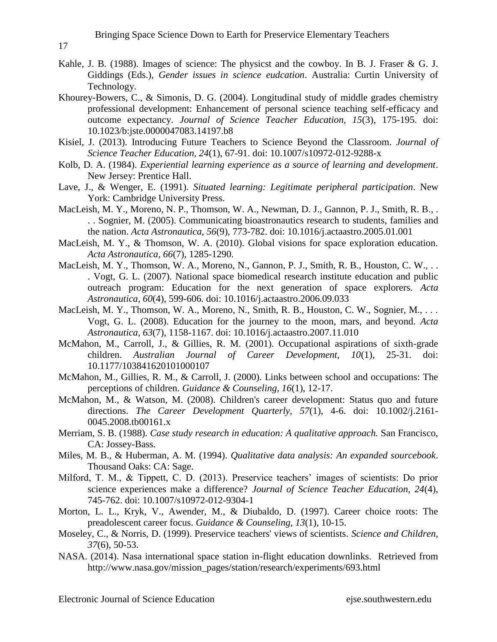- Kahle, J. B. (1988). Images of science: The physicst and the cowboy. In B. J. Fraser & G. J. Giddings (Eds.), *Gender issues in science eudcation*. Australia: Curtin University of Technology.
- Khourey-Bowers, C., & Simonis, D. G. (2004). Longitudinal study of middle grades chemistry professional development: Enhancement of personal science teaching self-efficacy and outcome expectancy. *Journal of Science Teacher Education, 15*(3), 175-195. doi: 10.1023/b:jste.0000047083.14197.b8
- Kisiel, J. (2013). Introducing Future Teachers to Science Beyond the Classroom. *Journal of Science Teacher Education, 24*(1), 67-91. doi: 10.1007/s10972-012-9288-x
- Kolb, D. A. (1984). *Experiential learning experience as a source of learning and development*. New Jersey: Prentice Hall.
- Lave, J., & Wenger, E. (1991). *Situated learning: Legitimate peripheral participation*. New York: Cambridge University Press.
- MacLeish, M. Y., Moreno, N. P., Thomson, W. A., Newman, D. J., Gannon, P. J., Smith, R. B., . . . Sognier, M. (2005). Communicating bioastronautics research to students, families and the nation. *Acta Astronautica, 56*(9), 773-782. doi: 10.1016/j.actaastro.2005.01.001
- MacLeish, M. Y., & Thomson, W. A. (2010). Global visions for space exploration education. *Acta Astronautica, 66*(7), 1285-1290.
- MacLeish, M. Y., Thomson, W. A., Moreno, N., Gannon, P. J., Smith, R. B., Houston, C. W., .. . Vogt, G. L. (2007). National space biomedical research institute education and public outreach program: Education for the next generation of space explorers. *Acta Astronautica, 60*(4), 599-606. doi: 10.1016/j.actaastro.2006.09.033
- MacLeish, M. Y., Thomson, W. A., Moreno, N., Smith, R. B., Houston, C. W., Sognier, M., ... Vogt, G. L. (2008). Education for the journey to the moon, mars, and beyond. *Acta Astronautica, 63*(7), 1158-1167. doi: 10.1016/j.actaastro.2007.11.010
- McMahon, M., Carroll, J., & Gillies, R. M. (2001). Occupational aspirations of sixth-grade children. *Australian Journal of Career Development, 10*(1), 25-31. doi: 10.1177/103841620101000107
- McMahon, M., Gillies, R. M., & Carroll, J. (2000). Links between school and occupations: The perceptions of children. *Guidance & Counseling, 16*(1), 12-17.
- McMahon, M., & Watson, M. (2008). Children's career development: Status quo and future directions. *The Career Development Quarterly, 57*(1), 4-6. doi: 10.1002/j.2161- 0045.2008.tb00161.x
- Merriam, S. B. (1988). *Case study research in education: A qualitative approach.* San Francisco, CA: Jossey-Bass.
- Miles, M. B., & Huberman, A. M. (1994). *Qualitative data analysis: An expanded sourcebook*. Thousand Oaks: CA: Sage.
- Milford, T. M., & Tippett, C. D. (2013). Preservice teachers' images of scientists: Do prior science experiences make a difference? *Journal of Science Teacher Education, 24*(4), 745-762. doi: 10.1007/s10972-012-9304-1
- Morton, L. L., Kryk, V., Awender, M., & Diubaldo, D. (1997). Career choice roots: The preadolescent career focus. *Guidance & Counseling, 13*(1), 10-15.
- Moseley, C., & Norris, D. (1999). Preservice teachers' views of scientists. *Science and Children, 37*(6), 50-53.
- NASA. (2014). Nasa international space station in-flight education downlinks. Retrieved from http://www.nasa.gov/mission\_pages/station/research/experiments/693.html

17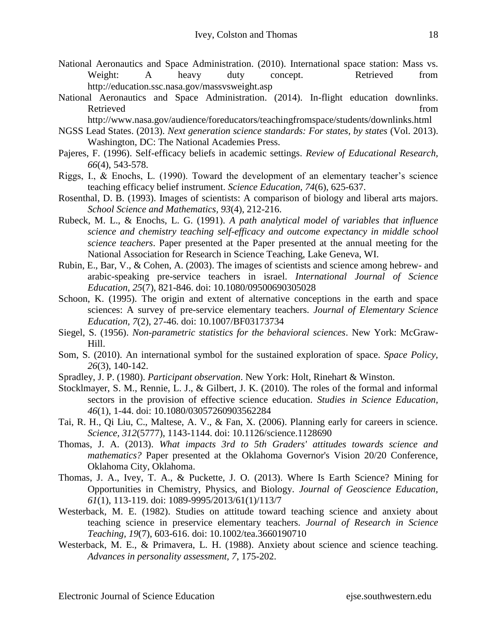- National Aeronautics and Space Administration. (2010). International space station: Mass vs. Weight: A heavy duty concept. Retrieved from http://education.ssc.nasa.gov/massvsweight.asp
- National Aeronautics and Space Administration. (2014). In-flight education downlinks. Retrieved from the state of the state of the state of the state of the state of the state of the state of the state of the state of the state of the state of the state of the state of the state of the state of the state of

http://www.nasa.gov/audience/foreducators/teachingfromspace/students/downlinks.html

- NGSS Lead States. (2013). *Next generation science standards: For states, by states* (Vol. 2013). Washington, DC: The National Academies Press.
- Pajeres, F. (1996). Self-efficacy beliefs in academic settings. *Review of Educational Research, 66*(4), 543-578.
- Riggs, I., & Enochs, L. (1990). Toward the development of an elementary teacher's science teaching efficacy belief instrument. *Science Education, 74*(6), 625-637.
- Rosenthal, D. B. (1993). Images of scientists: A comparison of biology and liberal arts majors. *School Science and Mathematics, 93*(4), 212-216.
- Rubeck, M. L., & Enochs, L. G. (1991). *A path analytical model of variables that influence science and chemistry teaching self-efficacy and outcome expectancy in middle school science teachers*. Paper presented at the Paper presented at the annual meeting for the National Association for Research in Science Teaching, Lake Geneva, WI.
- Rubin, E., Bar, V., & Cohen, A. (2003). The images of scientists and science among hebrew- and arabic-speaking pre-service teachers in israel. *International Journal of Science Education, 25*(7), 821-846. doi: 10.1080/09500690305028
- Schoon, K. (1995). The origin and extent of alternative conceptions in the earth and space sciences: A survey of pre-service elementary teachers. *Journal of Elementary Science Education, 7*(2), 27-46. doi: 10.1007/BF03173734
- Siegel, S. (1956). *Non-parametric statistics for the behavioral sciences*. New York: McGraw-Hill.
- Som, S. (2010). An international symbol for the sustained exploration of space. *Space Policy, 26*(3), 140-142.
- Spradley, J. P. (1980). *Participant observation*. New York: Holt, Rinehart & Winston.
- Stocklmayer, S. M., Rennie, L. J., & Gilbert, J. K. (2010). The roles of the formal and informal sectors in the provision of effective science education. *Studies in Science Education, 46*(1), 1-44. doi: 10.1080/03057260903562284
- Tai, R. H., Qi Liu, C., Maltese, A. V., & Fan, X. (2006). Planning early for careers in science. *Science, 312*(5777), 1143-1144. doi: 10.1126/science.1128690
- Thomas, J. A. (2013). *What impacts 3rd to 5th Graders' attitudes towards science and mathematics?* Paper presented at the Oklahoma Governor's Vision 20/20 Conference, Oklahoma City, Oklahoma.
- Thomas, J. A., Ivey, T. A., & Puckette, J. O. (2013). Where Is Earth Science? Mining for Opportunities in Chemistry, Physics, and Biology. *Journal of Geoscience Education, 61*(1), 113-119. doi: 1089-9995/2013/61(1)/113/7
- Westerback, M. E. (1982). Studies on attitude toward teaching science and anxiety about teaching science in preservice elementary teachers. *Journal of Research in Science Teaching, 19*(7), 603-616. doi: 10.1002/tea.3660190710
- Westerback, M. E., & Primavera, L. H. (1988). Anxiety about science and science teaching. *Advances in personality assessment, 7*, 175-202.

Electronic Journal of Science Education ejse.southwestern.edu